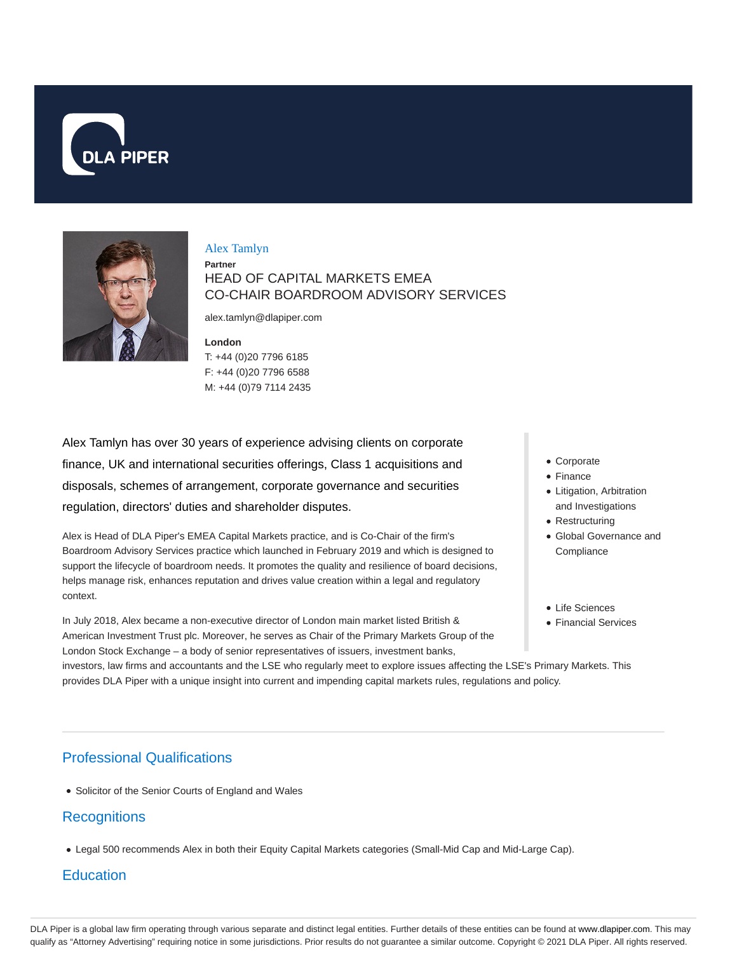



#### Alex Tamlyn

**Partner** HEAD OF CAPITAL MARKETS EMEA CO-CHAIR BOARDROOM ADVISORY SERVICES

alex.tamlyn@dlapiper.com

**London** T: +44 (0)20 7796 6185 F: +44 (0)20 7796 6588 M: +44 (0)79 7114 2435

Alex Tamlyn has over 30 years of experience advising clients on corporate finance, UK and international securities offerings, Class 1 acquisitions and disposals, schemes of arrangement, corporate governance and securities regulation, directors' duties and shareholder disputes.

Alex is Head of DLA Piper's EMEA Capital Markets practice, and is Co-Chair of the firm's Boardroom Advisory Services practice which launched in February 2019 and which is designed to support the lifecycle of boardroom needs. It promotes the quality and resilience of board decisions, helps manage risk, enhances reputation and drives value creation within a legal and regulatory context.

In July 2018, Alex became a non-executive director of London main market listed British & American Investment Trust plc. Moreover, he serves as Chair of the Primary Markets Group of the London Stock Exchange – a body of senior representatives of issuers, investment banks,

- Corporate
- Finance
- Litigation, Arbitration and Investigations
- Restructuring
- Global Governance and **Compliance**
- Life Sciences
- Financial Services

investors, law firms and accountants and the LSE who regularly meet to explore issues affecting the LSE's Primary Markets. This provides DLA Piper with a unique insight into current and impending capital markets rules, regulations and policy.

# Professional Qualifications

• Solicitor of the Senior Courts of England and Wales

## **Recognitions**

Legal 500 recommends Alex in both their Equity Capital Markets categories (Small-Mid Cap and Mid-Large Cap).

# **Education**

DLA Piper is a global law firm operating through various separate and distinct legal entities. Further details of these entities can be found at www.dlapiper.com. This may qualify as "Attorney Advertising" requiring notice in some jurisdictions. Prior results do not guarantee a similar outcome. Copyright © 2021 DLA Piper. All rights reserved.